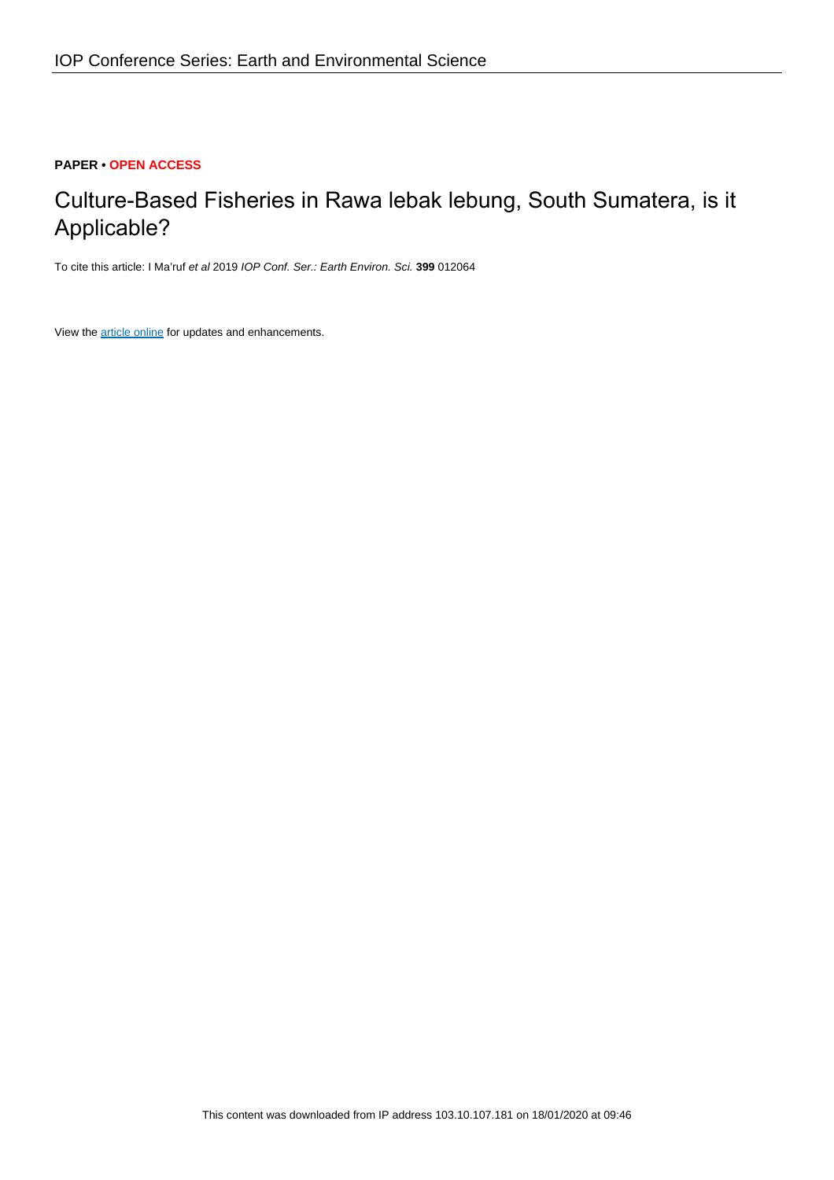## **PAPER • OPEN ACCESS**

# Culture-Based Fisheries in Rawa lebak lebung, South Sumatera, is it Applicable?

To cite this article: I Ma'ruf et al 2019 IOP Conf. Ser.: Earth Environ. Sci. **399** 012064

View the [article online](https://doi.org/10.1088/1755-1315/399/1/012064) for updates and enhancements.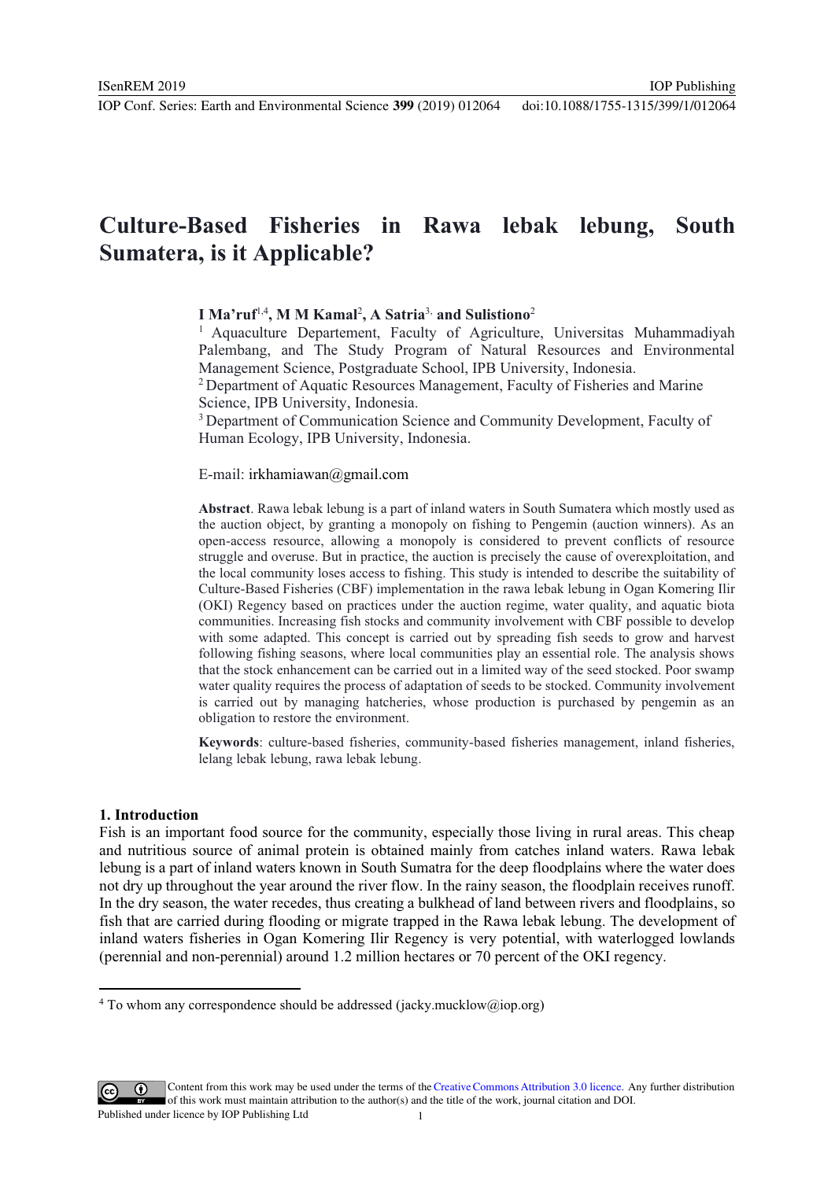IOP Publishing

## **Culture-Based Fisheries in Rawa lebak lebung, South Sumatera, is it Applicable?**

## **I Ma'ruf**1,4**, M M Kamal**<sup>2</sup> **, A Satria**3, **and Sulistiono**<sup>2</sup>

<sup>1</sup> Aquaculture Departement, Faculty of Agriculture, Universitas Muhammadiyah Palembang, and The Study Program of Natural Resources and Environmental Management Science, Postgraduate School, IPB University, Indonesia.

2 Department of Aquatic Resources Management, Faculty of Fisheries and Marine Science, IPB University, Indonesia.

<sup>3</sup> Department of Communication Science and Community Development, Faculty of Human Ecology, IPB University, Indonesia.

#### E-mail: irkhamiawan@gmail.com

**Abstract**. Rawa lebak lebung is a part of inland waters in South Sumatera which mostly used as the auction object, by granting a monopoly on fishing to Pengemin (auction winners). As an open-access resource, allowing a monopoly is considered to prevent conflicts of resource struggle and overuse. But in practice, the auction is precisely the cause of overexploitation, and the local community loses access to fishing. This study is intended to describe the suitability of Culture-Based Fisheries (CBF) implementation in the rawa lebak lebung in Ogan Komering Ilir (OKI) Regency based on practices under the auction regime, water quality, and aquatic biota communities. Increasing fish stocks and community involvement with CBF possible to develop with some adapted. This concept is carried out by spreading fish seeds to grow and harvest following fishing seasons, where local communities play an essential role. The analysis shows that the stock enhancement can be carried out in a limited way of the seed stocked. Poor swamp water quality requires the process of adaptation of seeds to be stocked. Community involvement is carried out by managing hatcheries, whose production is purchased by pengemin as an obligation to restore the environment.

**Keywords**: culture-based fisheries, community-based fisheries management, inland fisheries, lelang lebak lebung, rawa lebak lebung.

#### **1. Introduction**

Fish is an important food source for the community, especially those living in rural areas. This cheap and nutritious source of animal protein is obtained mainly from catches inland waters. Rawa lebak lebung is a part of inland waters known in South Sumatra for the deep floodplains where the water does not dry up throughout the year around the river flow. In the rainy season, the floodplain receives runoff. In the dry season, the water recedes, thus creating a bulkhead of land between rivers and floodplains, so fish that are carried during flooding or migrate trapped in the Rawa lebak lebung. The development of inland waters fisheries in Ogan Komering Ilir Regency is very potential, with waterlogged lowlands (perennial and non-perennial) around 1.2 million hectares or 70 percent of the OKI regency.



Content from this work may be used under the terms of theCreative Commons Attribution 3.0 licence. Any further distribution of this work must maintain attribution to the author(s) and the title of the work, journal citation and DOI. Published under licence by IOP Publishing Ltd

<sup>&</sup>lt;sup>4</sup> To whom any correspondence should be addressed (jacky.mucklow@iop.org)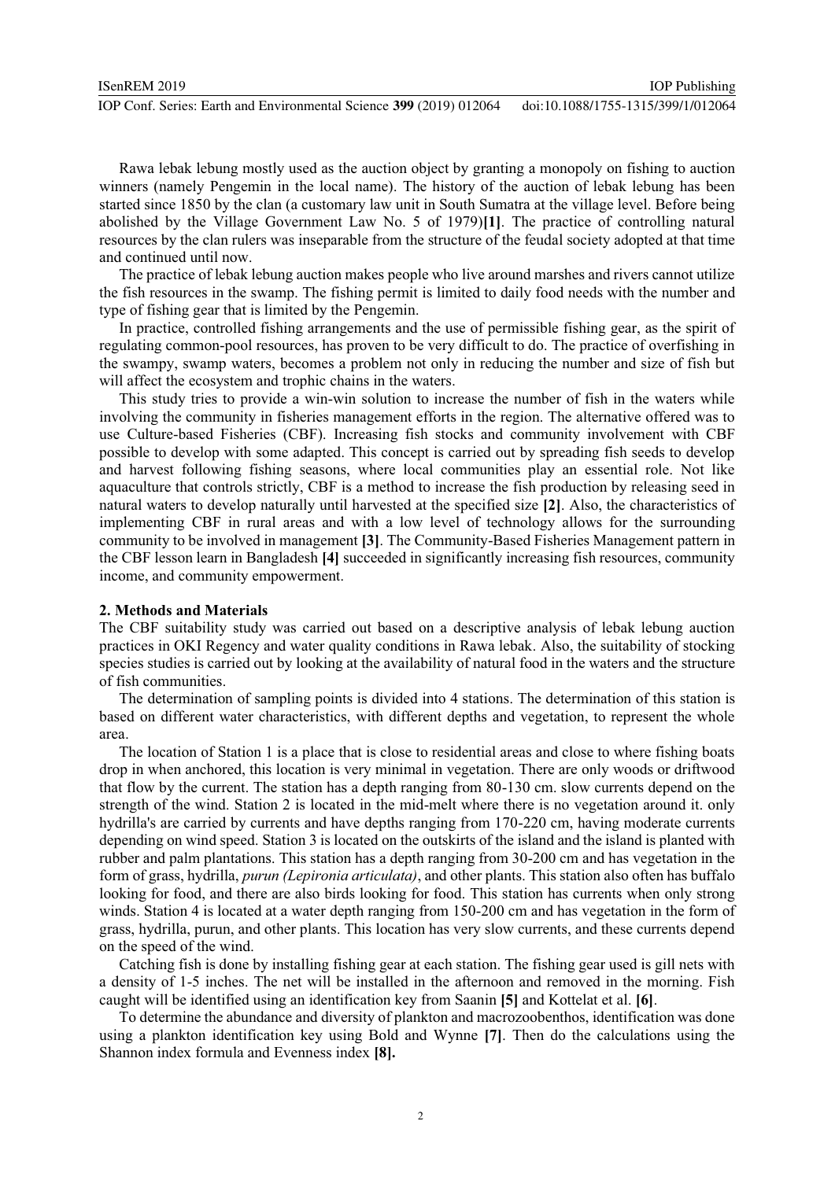| ISenREM 2019                                                        | <b>IOP</b> Publishing              |
|---------------------------------------------------------------------|------------------------------------|
| IOP Conf. Series: Earth and Environmental Science 399 (2019) 012064 | doi:10.1088/1755-1315/399/1/012064 |

Rawa lebak lebung mostly used as the auction object by granting a monopoly on fishing to auction winners (namely Pengemin in the local name). The history of the auction of lebak lebung has been started since 1850 by the clan (a customary law unit in South Sumatra at the village level. Before being abolished by the Village Government Law No. 5 of 1979)**[1]**. The practice of controlling natural resources by the clan rulers was inseparable from the structure of the feudal society adopted at that time and continued until now.

The practice of lebak lebung auction makes people who live around marshes and rivers cannot utilize the fish resources in the swamp. The fishing permit is limited to daily food needs with the number and type of fishing gear that is limited by the Pengemin.

In practice, controlled fishing arrangements and the use of permissible fishing gear, as the spirit of regulating common-pool resources, has proven to be very difficult to do. The practice of overfishing in the swampy, swamp waters, becomes a problem not only in reducing the number and size of fish but will affect the ecosystem and trophic chains in the waters.

This study tries to provide a win-win solution to increase the number of fish in the waters while involving the community in fisheries management efforts in the region. The alternative offered was to use Culture-based Fisheries (CBF). Increasing fish stocks and community involvement with CBF possible to develop with some adapted. This concept is carried out by spreading fish seeds to develop and harvest following fishing seasons, where local communities play an essential role. Not like aquaculture that controls strictly, CBF is a method to increase the fish production by releasing seed in natural waters to develop naturally until harvested at the specified size **[2]**. Also, the characteristics of implementing CBF in rural areas and with a low level of technology allows for the surrounding community to be involved in management **[3]**. The Community-Based Fisheries Management pattern in the CBF lesson learn in Bangladesh **[4]** succeeded in significantly increasing fish resources, community income, and community empowerment.

### **2. Methods and Materials**

The CBF suitability study was carried out based on a descriptive analysis of lebak lebung auction practices in OKI Regency and water quality conditions in Rawa lebak. Also, the suitability of stocking species studies is carried out by looking at the availability of natural food in the waters and the structure of fish communities.

The determination of sampling points is divided into 4 stations. The determination of this station is based on different water characteristics, with different depths and vegetation, to represent the whole area.

The location of Station 1 is a place that is close to residential areas and close to where fishing boats drop in when anchored, this location is very minimal in vegetation. There are only woods or driftwood that flow by the current. The station has a depth ranging from 80-130 cm. slow currents depend on the strength of the wind. Station 2 is located in the mid-melt where there is no vegetation around it. only hydrilla's are carried by currents and have depths ranging from 170-220 cm, having moderate currents depending on wind speed. Station 3 is located on the outskirts of the island and the island is planted with rubber and palm plantations. This station has a depth ranging from 30-200 cm and has vegetation in the form of grass, hydrilla, *purun (Lepironia articulata)*, and other plants. This station also often has buffalo looking for food, and there are also birds looking for food. This station has currents when only strong winds. Station 4 is located at a water depth ranging from 150-200 cm and has vegetation in the form of grass, hydrilla, purun, and other plants. This location has very slow currents, and these currents depend on the speed of the wind.

Catching fish is done by installing fishing gear at each station. The fishing gear used is gill nets with a density of 1-5 inches. The net will be installed in the afternoon and removed in the morning. Fish caught will be identified using an identification key from Saanin **[5]** and Kottelat et al. **[6]**.

To determine the abundance and diversity of plankton and macrozoobenthos, identification was done using a plankton identification key using Bold and Wynne **[7]**. Then do the calculations using the Shannon index formula and Evenness index **[8].**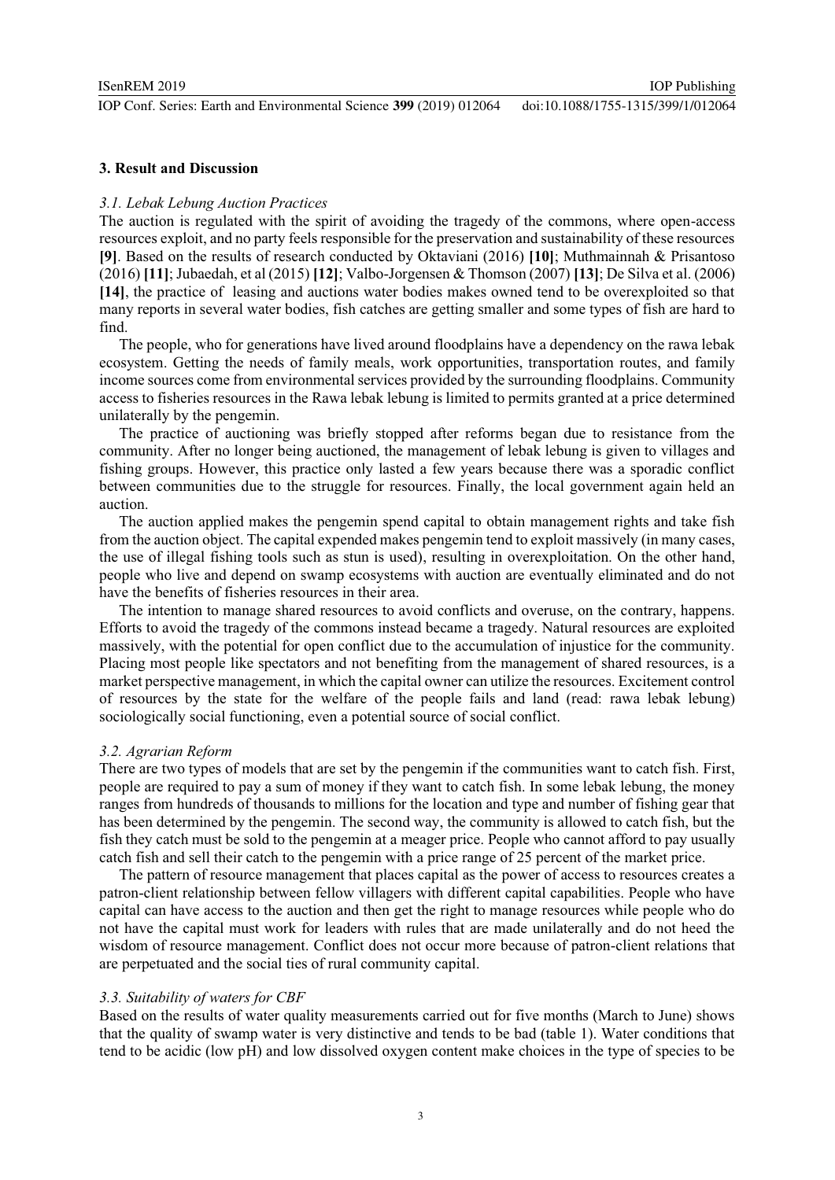IOP Publishing

#### **3. Result and Discussion**

#### *3.1. Lebak Lebung Auction Practices*

The auction is regulated with the spirit of avoiding the tragedy of the commons, where open-access resources exploit, and no party feels responsible for the preservation and sustainability of these resources **[9]**. Based on the results of research conducted by Oktaviani (2016) **[10]**; Muthmainnah & Prisantoso (2016) **[11]**; Jubaedah, et al (2015) **[12]**; Valbo-Jorgensen & Thomson (2007) **[13]**; De Silva et al. (2006) **[14]**, the practice of leasing and auctions water bodies makes owned tend to be overexploited so that many reports in several water bodies, fish catches are getting smaller and some types of fish are hard to find.

The people, who for generations have lived around floodplains have a dependency on the rawa lebak ecosystem. Getting the needs of family meals, work opportunities, transportation routes, and family income sources come from environmental services provided by the surrounding floodplains. Community access to fisheries resources in the Rawa lebak lebung is limited to permits granted at a price determined unilaterally by the pengemin.

The practice of auctioning was briefly stopped after reforms began due to resistance from the community. After no longer being auctioned, the management of lebak lebung is given to villages and fishing groups. However, this practice only lasted a few years because there was a sporadic conflict between communities due to the struggle for resources. Finally, the local government again held an auction.

The auction applied makes the pengemin spend capital to obtain management rights and take fish from the auction object. The capital expended makes pengemin tend to exploit massively (in many cases, the use of illegal fishing tools such as stun is used), resulting in overexploitation. On the other hand, people who live and depend on swamp ecosystems with auction are eventually eliminated and do not have the benefits of fisheries resources in their area.

The intention to manage shared resources to avoid conflicts and overuse, on the contrary, happens. Efforts to avoid the tragedy of the commons instead became a tragedy. Natural resources are exploited massively, with the potential for open conflict due to the accumulation of injustice for the community. Placing most people like spectators and not benefiting from the management of shared resources, is a market perspective management, in which the capital owner can utilize the resources. Excitement control of resources by the state for the welfare of the people fails and land (read: rawa lebak lebung) sociologically social functioning, even a potential source of social conflict.

#### *3.2. Agrarian Reform*

There are two types of models that are set by the pengemin if the communities want to catch fish. First, people are required to pay a sum of money if they want to catch fish. In some lebak lebung, the money ranges from hundreds of thousands to millions for the location and type and number of fishing gear that has been determined by the pengemin. The second way, the community is allowed to catch fish, but the fish they catch must be sold to the pengemin at a meager price. People who cannot afford to pay usually catch fish and sell their catch to the pengemin with a price range of 25 percent of the market price.

The pattern of resource management that places capital as the power of access to resources creates a patron-client relationship between fellow villagers with different capital capabilities. People who have capital can have access to the auction and then get the right to manage resources while people who do not have the capital must work for leaders with rules that are made unilaterally and do not heed the wisdom of resource management. Conflict does not occur more because of patron-client relations that are perpetuated and the social ties of rural community capital.

#### *3.3. Suitability of waters for CBF*

Based on the results of water quality measurements carried out for five months (March to June) shows that the quality of swamp water is very distinctive and tends to be bad (table 1). Water conditions that tend to be acidic (low pH) and low dissolved oxygen content make choices in the type of species to be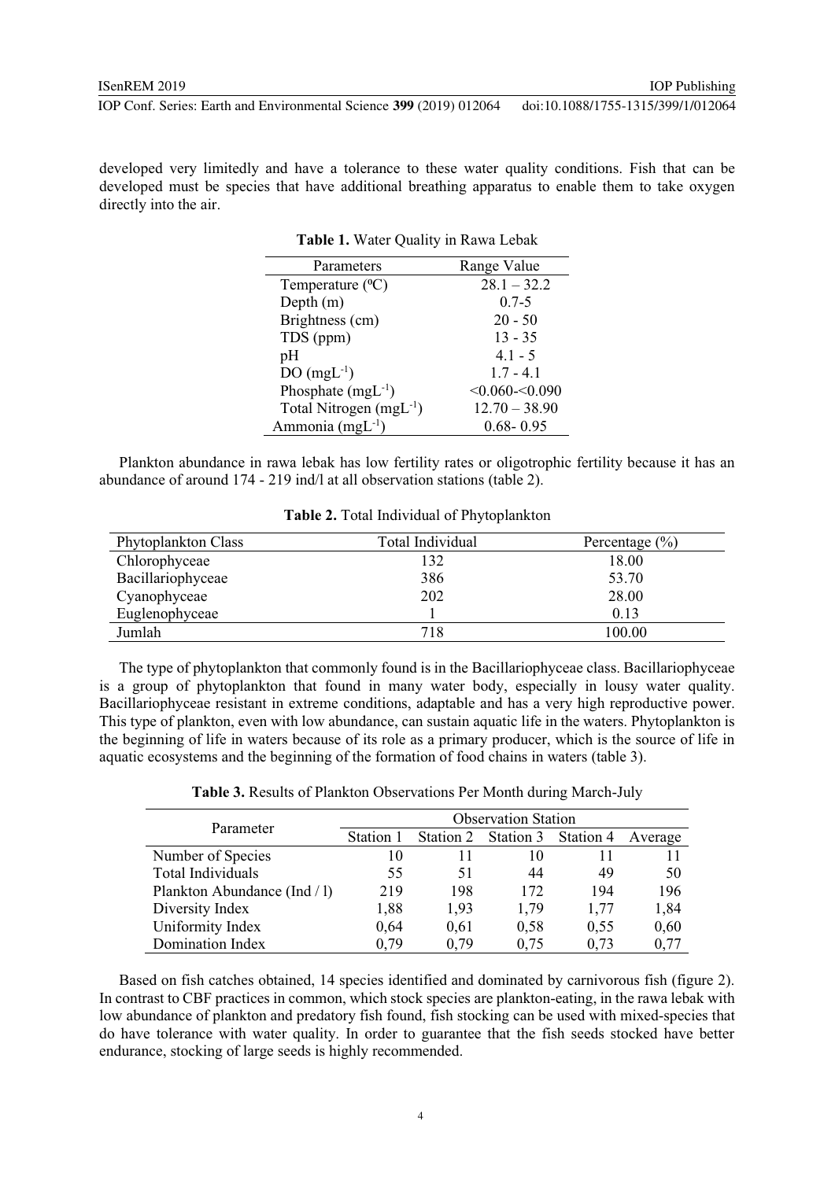developed very limitedly and have a tolerance to these water quality conditions. Fish that can be developed must be species that have additional breathing apparatus to enable them to take oxygen directly into the air.

**Table 1.** Water Quality in Rawa Lebak

| Parameters                          | Range Value       |
|-------------------------------------|-------------------|
| Temperature $(^{0}C)$               | $28.1 - 32.2$     |
| Depth $(m)$                         | $0.7 - 5$         |
| Brightness (cm)                     | $20 - 50$         |
| TDS (ppm)                           | $13 - 35$         |
| pH                                  | $4.1 - 5$         |
| $DO(mgL^{-1})$                      | $1.7 - 4.1$       |
| Phosphate $(mgL^{-1})$              | $< 0.060 - 0.090$ |
| Total Nitrogen (mgL <sup>-1</sup> ) | $12.70 - 38.90$   |
| Ammonia (mgL <sup>-1</sup> )        | $0.68 - 0.95$     |

Plankton abundance in rawa lebak has low fertility rates or oligotrophic fertility because it has an abundance of around 174 - 219 ind/l at all observation stations (table 2).

| Phytoplankton Class | Total Individual | Percentage $(\% )$ |
|---------------------|------------------|--------------------|
| Chlorophyceae       | 132              | 18.00              |
| Bacillariophyceae   | 386              | 53.70              |
| Cyanophyceae        | 202              | 28.00              |
| Euglenophyceae      |                  | 0.13               |
| Jumlah              | 718              | 100.00             |

**Table 2.** Total Individual of Phytoplankton

The type of phytoplankton that commonly found is in the Bacillariophyceae class. Bacillariophyceae is a group of phytoplankton that found in many water body, especially in lousy water quality. Bacillariophyceae resistant in extreme conditions, adaptable and has a very high reproductive power. This type of plankton, even with low abundance, can sustain aquatic life in the waters. Phytoplankton is the beginning of life in waters because of its role as a primary producer, which is the source of life in aquatic ecosystems and the beginning of the formation of food chains in waters (table 3).

|  | Table 3. Results of Plankton Observations Per Month during March-July |  |  |
|--|-----------------------------------------------------------------------|--|--|
|  |                                                                       |  |  |

|                              | <b>Observation Station</b> |           |           |           |         |
|------------------------------|----------------------------|-----------|-----------|-----------|---------|
| Parameter                    | Station 1                  | Station 2 | Station 3 | Station 4 | Average |
| Number of Species            | 10                         |           | 10        |           |         |
| Total Individuals            | 55                         | 51        | 44        | 49        | 50      |
| Plankton Abundance (Ind / 1) | 219                        | 198       | 172       | 194       | 196     |
| Diversity Index              | 1,88                       | 1,93      | 1,79      | 1,77      | 1,84    |
| Uniformity Index             | 0,64                       | 0.61      | 0,58      | 0,55      | 0,60    |
| Domination Index             | 0.79                       | 0.79      | 0.75      | 0.73      | 0.77    |

Based on fish catches obtained, 14 species identified and dominated by carnivorous fish (figure 2). In contrast to CBF practices in common, which stock species are plankton-eating, in the rawa lebak with low abundance of plankton and predatory fish found, fish stocking can be used with mixed-species that do have tolerance with water quality. In order to guarantee that the fish seeds stocked have better endurance, stocking of large seeds is highly recommended.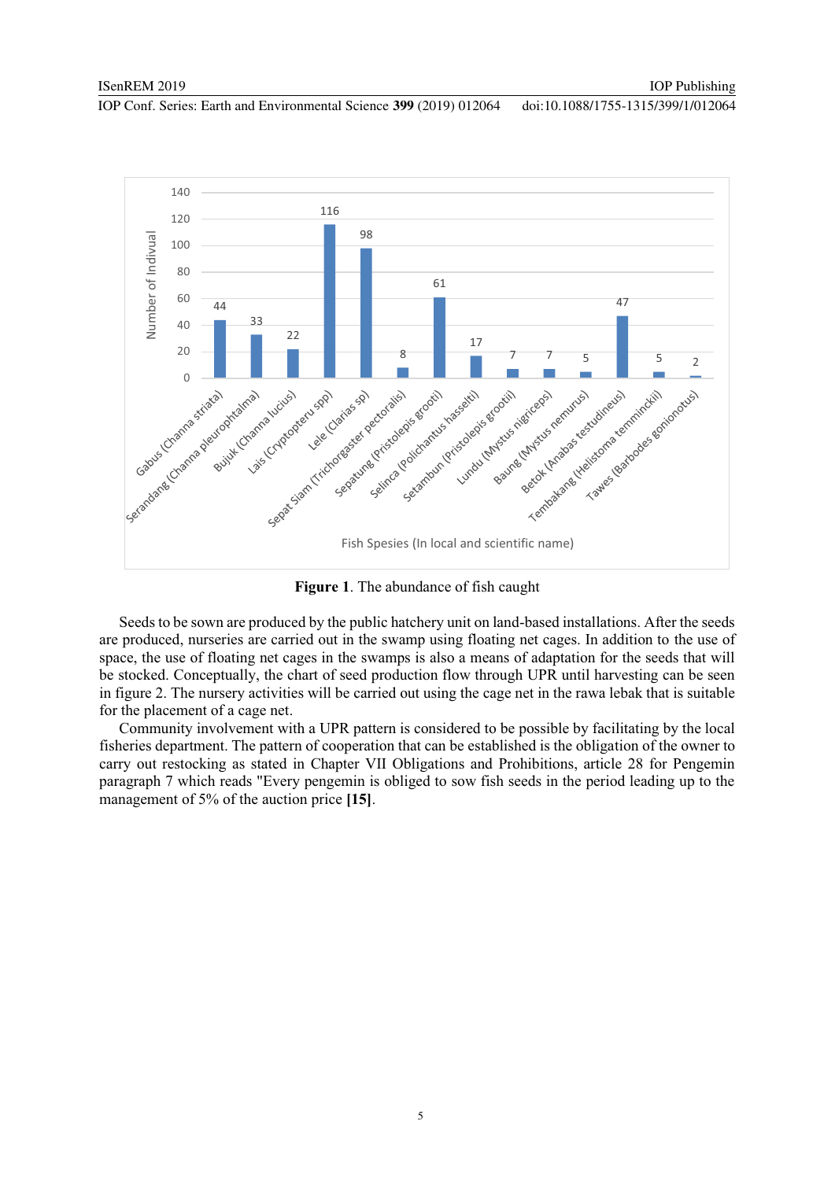

**Figure 1**. The abundance of fish caught

Seeds to be sown are produced by the public hatchery unit on land-based installations. After the seeds are produced, nurseries are carried out in the swamp using floating net cages. In addition to the use of space, the use of floating net cages in the swamps is also a means of adaptation for the seeds that will be stocked. Conceptually, the chart of seed production flow through UPR until harvesting can be seen in figure 2. The nursery activities will be carried out using the cage net in the rawa lebak that is suitable for the placement of a cage net.

Community involvement with a UPR pattern is considered to be possible by facilitating by the local fisheries department. The pattern of cooperation that can be established is the obligation of the owner to carry out restocking as stated in Chapter VII Obligations and Prohibitions, article 28 for Pengemin paragraph 7 which reads "Every pengemin is obliged to sow fish seeds in the period leading up to the management of 5% of the auction price **[15]**.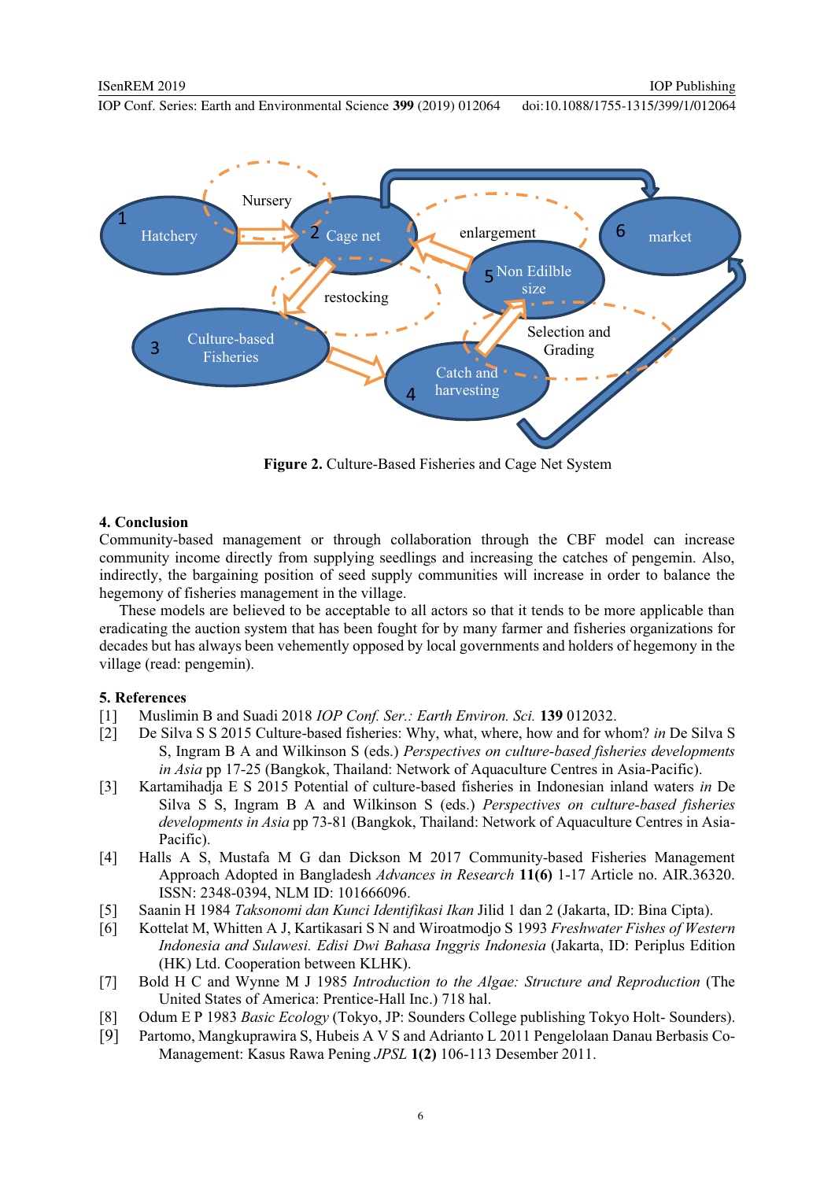

**Figure 2.** Culture-Based Fisheries and Cage Net System

#### **4. Conclusion**

Community-based management or through collaboration through the CBF model can increase community income directly from supplying seedlings and increasing the catches of pengemin. Also, indirectly, the bargaining position of seed supply communities will increase in order to balance the hegemony of fisheries management in the village.

These models are believed to be acceptable to all actors so that it tends to be more applicable than eradicating the auction system that has been fought for by many farmer and fisheries organizations for decades but has always been vehemently opposed by local governments and holders of hegemony in the village (read: pengemin).

## **5. References**

- [1] Muslimin B and Suadi 2018 *IOP Conf. Ser.: Earth Environ. Sci.* **139** 012032.
- [2] De Silva S S 2015 Culture-based fisheries: Why, what, where, how and for whom? *in* De Silva S S, Ingram B A and Wilkinson S (eds.) *Perspectives on culture-based fisheries developments in Asia* pp 17-25 (Bangkok, Thailand: Network of Aquaculture Centres in Asia-Pacific).
- [3] Kartamihadja E S 2015 Potential of culture-based fisheries in Indonesian inland waters *in* De Silva S S, Ingram B A and Wilkinson S (eds.) *Perspectives on culture-based fisheries developments in Asia* pp 73-81 (Bangkok, Thailand: Network of Aquaculture Centres in Asia-Pacific).
- [4] Halls A S, Mustafa M G dan Dickson M 2017 Community-based Fisheries Management Approach Adopted in Bangladesh *Advances in Research* **11(6)** 1-17 Article no. AIR.36320. ISSN: 2348-0394, NLM ID: 101666096.
- [5] Saanin H 1984 *Taksonomi dan Kunci Identifikasi Ikan* Jilid 1 dan 2 (Jakarta, ID: Bina Cipta).
- [6] Kottelat M, Whitten A J, Kartikasari S N and Wiroatmodjo S 1993 *Freshwater Fishes of Western Indonesia and Sulawesi. Edisi Dwi Bahasa Inggris Indonesia* (Jakarta, ID: Periplus Edition (HK) Ltd. Cooperation between KLHK).
- [7] Bold H C and Wynne M J 1985 *Introduction to the Algae: Structure and Reproduction* (The United States of America: Prentice-Hall Inc.) 718 hal.
- [8] Odum E P 1983 *Basic Ecology* (Tokyo, JP: Sounders College publishing Tokyo Holt- Sounders).
- [9] Partomo, Mangkuprawira S, Hubeis A V S and Adrianto L 2011 Pengelolaan Danau Berbasis Co-Management: Kasus Rawa Pening *JPSL* **1(2)** 106-113 Desember 2011.